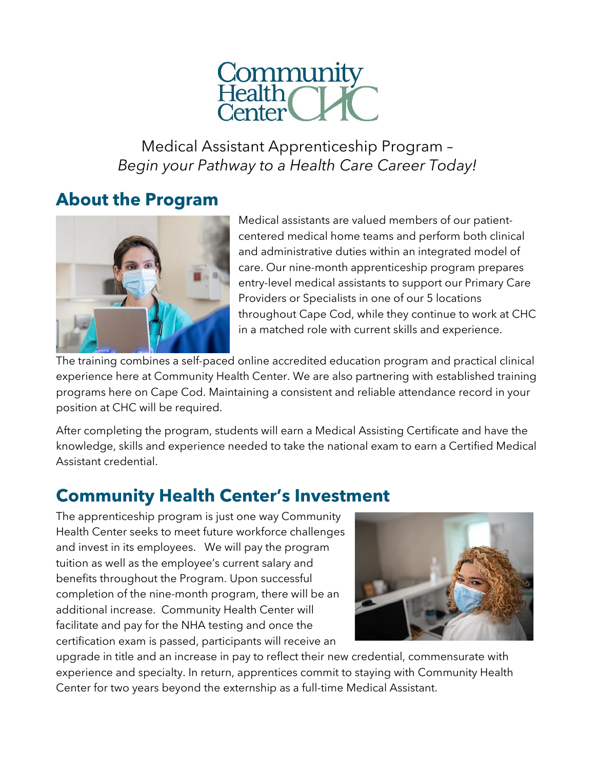

Medical Assistant Apprenticeship Program – *Begin your Pathway to a Health Care Career Today!*

## **About the Program**



Medical assistants are valued members of our patientcentered medical home teams and perform both clinical and administrative duties within an integrated model of care. Our nine-month apprenticeship program prepares entry-level medical assistants to support our Primary Care Providers or Specialists in one of our 5 locations throughout Cape Cod, while they continue to work at CHC in a matched role with current skills and experience.

The training combines a self-paced online accredited education program and practical clinical experience here at Community Health Center. We are also partnering with established training programs here on Cape Cod. Maintaining a consistent and reliable attendance record in your position at CHC will be required.

After completing the program, students will earn a Medical Assisting Certificate and have the knowledge, skills and experience needed to take the national exam to earn a Certified Medical Assistant credential.

# **Community Health Center's Investment**

The apprenticeship program is just one way Community Health Center seeks to meet future workforce challenges and invest in its employees. We will pay the program tuition as well as the employee's current salary and benefits throughout the Program. Upon successful completion of the nine-month program, there will be an additional increase. Community Health Center will facilitate and pay for the NHA testing and once the certification exam is passed, participants will receive an



upgrade in title and an increase in pay to reflect their new credential, commensurate with experience and specialty. In return, apprentices commit to staying with Community Health Center for two years beyond the externship as a full-time Medical Assistant.